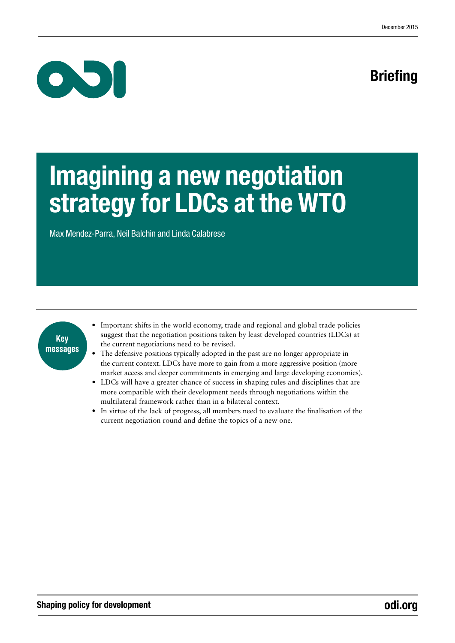## **Briefing**



# Imagining a new negotiation strategy for LDCs at the WTO

Max Mendez-Parra, Neil Balchin and Linda Calabrese



- Important shifts in the world economy, trade and regional and global trade policies suggest that the negotiation positions taken by least developed countries (LDCs) at the current negotiations need to be revised.
- The defensive positions typically adopted in the past are no longer appropriate in the current context. LDCs have more to gain from a more aggressive position (more market access and deeper commitments in emerging and large developing economies).
- LDCs will have a greater chance of success in shaping rules and disciplines that are more compatible with their development needs through negotiations within the multilateral framework rather than in a bilateral context.
- In virtue of the lack of progress, all members need to evaluate the finalisation of the current negotiation round and define the topics of a new one.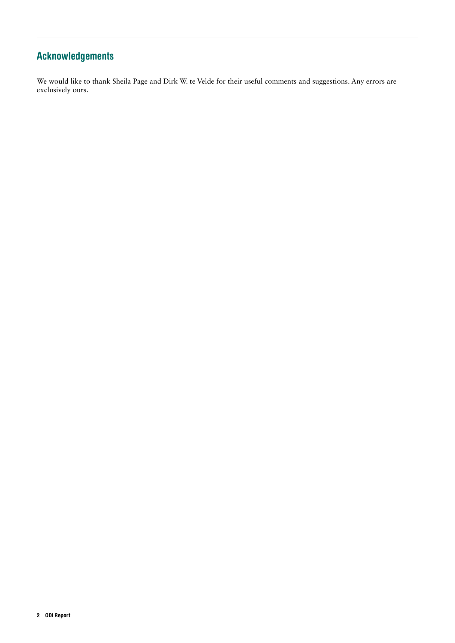### Acknowledgements

We would like to thank Sheila Page and Dirk W. te Velde for their useful comments and suggestions. Any errors are exclusively ours.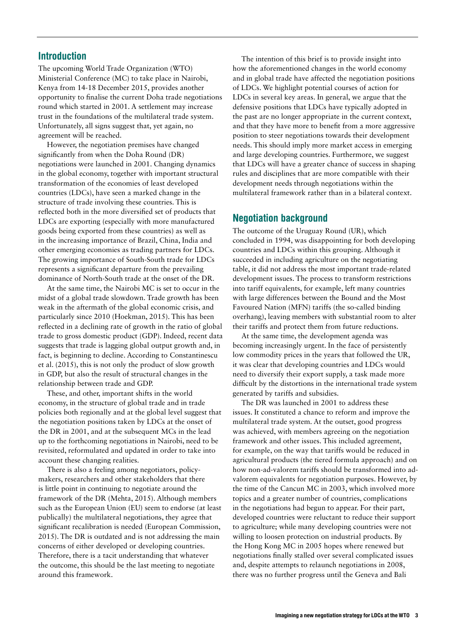#### Introduction

The upcoming World Trade Organization (WTO) Ministerial Conference (MC) to take place in Nairobi, Kenya from 14-18 December 2015, provides another opportunity to finalise the current Doha trade negotiations round which started in 2001. A settlement may increase trust in the foundations of the multilateral trade system. Unfortunately, all signs suggest that, yet again, no agreement will be reached.

However, the negotiation premises have changed significantly from when the Doha Round (DR) negotiations were launched in 2001. Changing dynamics in the global economy, together with important structural transformation of the economies of least developed countries (LDCs), have seen a marked change in the structure of trade involving these countries. This is reflected both in the more diversified set of products that LDCs are exporting (especially with more manufactured goods being exported from these countries) as well as in the increasing importance of Brazil, China, India and other emerging economies as trading partners for LDCs. The growing importance of South-South trade for LDCs represents a significant departure from the prevailing dominance of North-South trade at the onset of the DR.

At the same time, the Nairobi MC is set to occur in the midst of a global trade slowdown. Trade growth has been weak in the aftermath of the global economic crisis, and particularly since 2010 (Hoekman, 2015). This has been reflected in a declining rate of growth in the ratio of global trade to gross domestic product (GDP). Indeed, recent data suggests that trade is lagging global output growth and, in fact, is beginning to decline. According to Constantinescu et al. (2015), this is not only the product of slow growth in GDP, but also the result of structural changes in the relationship between trade and GDP.

These, and other, important shifts in the world economy, in the structure of global trade and in trade policies both regionally and at the global level suggest that the negotiation positions taken by LDCs at the onset of the DR in 2001, and at the subsequent MCs in the lead up to the forthcoming negotiations in Nairobi, need to be revisited, reformulated and updated in order to take into account these changing realities.

There is also a feeling among negotiators, policymakers, researchers and other stakeholders that there is little point in continuing to negotiate around the framework of the DR (Mehta, 2015). Although members such as the European Union (EU) seem to endorse (at least publically) the multilateral negotiations, they agree that significant recalibration is needed (European Commission, 2015). The DR is outdated and is not addressing the main concerns of either developed or developing countries. Therefore, there is a tacit understanding that whatever the outcome, this should be the last meeting to negotiate around this framework.

The intention of this brief is to provide insight into how the aforementioned changes in the world economy and in global trade have affected the negotiation positions of LDCs. We highlight potential courses of action for LDCs in several key areas. In general, we argue that the defensive positions that LDCs have typically adopted in the past are no longer appropriate in the current context, and that they have more to benefit from a more aggressive position to steer negotiations towards their development needs. This should imply more market access in emerging and large developing countries. Furthermore, we suggest that LDCs will have a greater chance of success in shaping rules and disciplines that are more compatible with their development needs through negotiations within the multilateral framework rather than in a bilateral context.

#### Negotiation background

The outcome of the Uruguay Round (UR), which concluded in 1994, was disappointing for both developing countries and LDCs within this grouping. Although it succeeded in including agriculture on the negotiating table, it did not address the most important trade-related development issues. The process to transform restrictions into tariff equivalents, for example, left many countries with large differences between the Bound and the Most Favoured Nation (MFN) tariffs (the so-called binding overhang), leaving members with substantial room to alter their tariffs and protect them from future reductions.

At the same time, the development agenda was becoming increasingly urgent. In the face of persistently low commodity prices in the years that followed the UR, it was clear that developing countries and LDCs would need to diversify their export supply, a task made more difficult by the distortions in the international trade system generated by tariffs and subsidies.

The DR was launched in 2001 to address these issues. It constituted a chance to reform and improve the multilateral trade system. At the outset, good progress was achieved, with members agreeing on the negotiation framework and other issues. This included agreement, for example, on the way that tariffs would be reduced in agricultural products (the tiered formula approach) and on how non-ad-valorem tariffs should be transformed into advalorem equivalents for negotiation purposes. However, by the time of the Cancun MC in 2003, which involved more topics and a greater number of countries, complications in the negotiations had begun to appear. For their part, developed countries were reluctant to reduce their support to agriculture; while many developing countries were not willing to loosen protection on industrial products. By the Hong Kong MC in 2005 hopes where renewed but negotiations finally stalled over several complicated issues and, despite attempts to relaunch negotiations in 2008, there was no further progress until the Geneva and Bali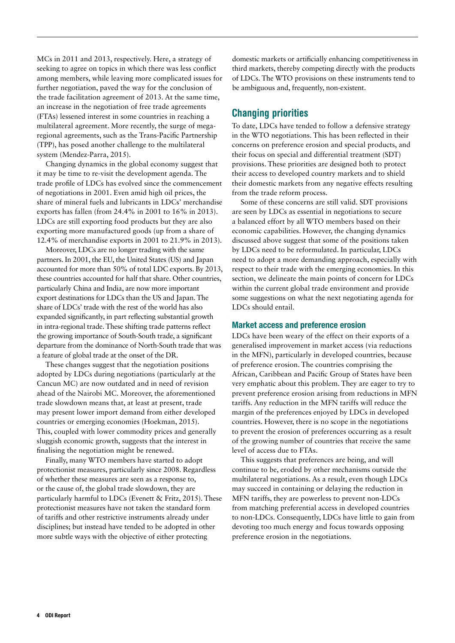MCs in 2011 and 2013, respectively. Here, a strategy of seeking to agree on topics in which there was less conflict among members, while leaving more complicated issues for further negotiation, paved the way for the conclusion of the trade facilitation agreement of 2013. At the same time, an increase in the negotiation of free trade agreements (FTAs) lessened interest in some countries in reaching a multilateral agreement. More recently, the surge of megaregional agreements, such as the Trans-Pacific Partnership (TPP), has posed another challenge to the multilateral system (Mendez-Parra, 2015).

Changing dynamics in the global economy suggest that it may be time to re-visit the development agenda. The trade profile of LDCs has evolved since the commencement of negotiations in 2001. Even amid high oil prices, the share of mineral fuels and lubricants in LDCs' merchandise exports has fallen (from 24.4% in 2001 to 16% in 2013). LDCs are still exporting food products but they are also exporting more manufactured goods (up from a share of 12.4% of merchandise exports in 2001 to 21.9% in 2013).

Moreover, LDCs are no longer trading with the same partners. In 2001, the EU, the United States (US) and Japan accounted for more than 50% of total LDC exports. By 2013, these countries accounted for half that share. Other countries, particularly China and India, are now more important export destinations for LDCs than the US and Japan.The share of LDCs' trade with the rest of the world has also expanded significantly, in part reflecting substantial growth in intra-regional trade.These shifting trade patterns reflect the growing importance of South-South trade, a significant departure from the dominance of North-South trade that was a feature of global trade at the onset of the DR.

These changes suggest that the negotiation positions adopted by LDCs during negotiations (particularly at the Cancun MC) are now outdated and in need of revision ahead of the Nairobi MC. Moreover, the aforementioned trade slowdown means that, at least at present, trade may present lower import demand from either developed countries or emerging economies (Hoekman, 2015). This, coupled with lower commodity prices and generally sluggish economic growth, suggests that the interest in finalising the negotiation might be renewed.

Finally, many WTO members have started to adopt protectionist measures, particularly since 2008. Regardless of whether these measures are seen as a response to, or the cause of, the global trade slowdown, they are particularly harmful to LDCs (Evenett & Fritz, 2015). These protectionist measures have not taken the standard form of tariffs and other restrictive instruments already under disciplines; but instead have tended to be adopted in other more subtle ways with the objective of either protecting

domestic markets or artificially enhancing competitiveness in third markets, thereby competing directly with the products of LDCs. The WTO provisions on these instruments tend to be ambiguous and, frequently, non-existent.

#### Changing priorities

To date, LDCs have tended to follow a defensive strategy in the WTO negotiations. This has been reflected in their concerns on preference erosion and special products, and their focus on special and differential treatment (SDT) provisions. These priorities are designed both to protect their access to developed country markets and to shield their domestic markets from any negative effects resulting from the trade reform process.

Some of these concerns are still valid. SDT provisions are seen by LDCs as essential in negotiations to secure a balanced effort by all WTO members based on their economic capabilities. However, the changing dynamics discussed above suggest that some of the positions taken by LDCs need to be reformulated. In particular, LDCs need to adopt a more demanding approach, especially with respect to their trade with the emerging economies. In this section, we delineate the main points of concern for LDCs within the current global trade environment and provide some suggestions on what the next negotiating agenda for LDCs should entail.

#### Market access and preference erosion

LDCs have been weary of the effect on their exports of a generalised improvement in market access (via reductions in the MFN), particularly in developed countries, because of preference erosion. The countries comprising the African, Caribbean and Pacific Group of States have been very emphatic about this problem. They are eager to try to prevent preference erosion arising from reductions in MFN tariffs. Any reduction in the MFN tariffs will reduce the margin of the preferences enjoyed by LDCs in developed countries. However, there is no scope in the negotiations to prevent the erosion of preferences occurring as a result of the growing number of countries that receive the same level of access due to FTAs.

This suggests that preferences are being, and will continue to be, eroded by other mechanisms outside the multilateral negotiations. As a result, even though LDCs may succeed in containing or delaying the reduction in MFN tariffs, they are powerless to prevent non-LDCs from matching preferential access in developed countries to non-LDCs. Consequently, LDCs have little to gain from devoting too much energy and focus towards opposing preference erosion in the negotiations.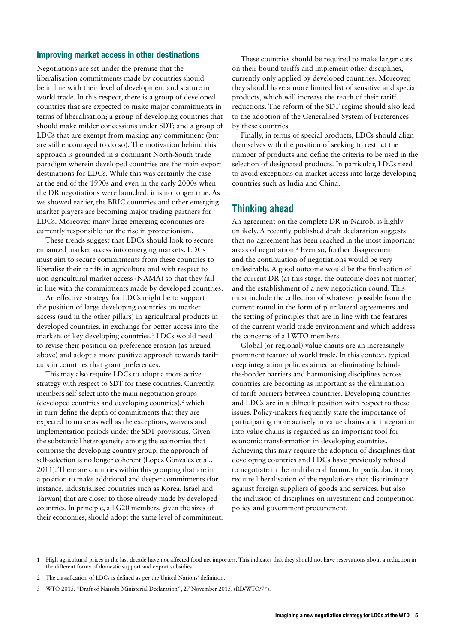#### Improving market access in other destinations

Negotiations are set under the premise that the liberalisation commitments made by countries should be in line with their level of development and stature in world trade. In this respect, there is a group of developed countries that are expected to make major commitments in terms of liberalisation; a group of developing countries that should make milder concessions under SDT; and a group of LDCs that are exempt from making any commitment (but are still encouraged to do so). The motivation behind this approach is grounded in a dominant North-South trade paradigm wherein developed countries are the main export destinations for LDCs. While this was certainly the case at the end of the 1990s and even in the early 2000s when the DR negotiations were launched, it is no longer true. As we showed earlier, the BRIC countries and other emerging market players are becoming major trading partners for LDCs. Moreover, many large emerging economies are currently responsible for the rise in protectionism.

These trends suggest that LDCs should look to secure enhanced market access into emerging markets. LDCs must aim to secure commitments from these countries to liberalise their tariffs in agriculture and with respect to non-agricultural market access (NAMA) so that they fall in line with the commitments made by developed countries.

An effective strategy for LDCs might be to support the position of large developing countries on market access (and in the other pillars) in agricultural products in developed countries, in exchange for better access into the markets of key developing countries.<sup>1</sup> LDCs would need to revise their position on preference erosion (as argued above) and adopt a more positive approach towards tariff cuts in countries that grant preferences.

This may also require LDCs to adopt a more active strategy with respect to SDT for these countries. Currently, members self-select into the main negotiation groups (developed countries and developing countries), $2$  which in turn define the depth of commitments that they are expected to make as well as the exceptions, waivers and implementation periods under the SDT provisions. Given the substantial heterogeneity among the economies that comprise the developing country group, the approach of self-selection is no longer coherent (Lopez Gonzalez et al., 2011). There are countries within this grouping that are in a position to make additional and deeper commitments (for instance, industrialised countries such as Korea, Israel and Taiwan) that are closer to those already made by developed countries. In principle, all G20 members, given the sizes of their economies, should adopt the same level of commitment.

These countries should be required to make larger cuts on their bound tariffs and implement other disciplines, currently only applied by developed countries. Moreover, they should have a more limited list of sensitive and special products, which will increase the reach of their tariff reductions. The reform of the SDT regime should also lead to the adoption of the Generalised System of Preferences by these countries.

Finally, in terms of special products, LDCs should align themselves with the position of seeking to restrict the number of products and define the criteria to be used in the selection of designated products. In particular, LDCs need to avoid exceptions on market access into large developing countries such as India and China.

#### Thinking ahead

An agreement on the complete DR in Nairobi is highly unlikely. A recently published draft declaration suggests that no agreement has been reached in the most important areas of negotiation.3 Even so, further disagreement and the continuation of negotiations would be very undesirable. A good outcome would be the finalisation of the current DR (at this stage, the outcome does not matter) and the establishment of a new negotiation round. This must include the collection of whatever possible from the current round in the form of plurilateral agreements and the setting of principles that are in line with the features of the current world trade environment and which address the concerns of all WTO members.

Global (or regional) value chains are an increasingly prominent feature of world trade. In this context, typical deep integration policies aimed at eliminating behindthe-border barriers and harmonising disciplines across countries are becoming as important as the elimination of tariff barriers between countries. Developing countries and LDCs are in a difficult position with respect to these issues. Policy-makers frequently state the importance of participating more actively in value chains and integration into value chains is regarded as an important tool for economic transformation in developing countries. Achieving this may require the adoption of disciplines that developing countries and LDCs have previously refused to negotiate in the multilateral forum. In particular, it may require liberalisation of the regulations that discriminate against foreign suppliers of goods and services, but also the inclusion of disciplines on investment and competition policy and government procurement.

- 2 The classification of LDCs is defined as per the United Nations' definition.
- 3 WTO 2015, "Draft of Nairobi Ministerial Declaration", 27 November 2015. (RD/WTO/7\*).

High agricultural prices in the last decade have not affected food net importers. This indicates that they should not have reservations about a reduction in the different forms of domestic support and export subsidies.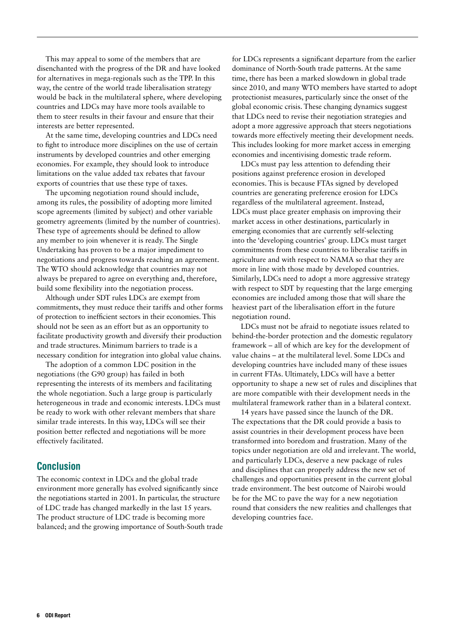This may appeal to some of the members that are disenchanted with the progress of the DR and have looked for alternatives in mega-regionals such as the TPP. In this way, the centre of the world trade liberalisation strategy would be back in the multilateral sphere, where developing countries and LDCs may have more tools available to them to steer results in their favour and ensure that their interests are better represented.

At the same time, developing countries and LDCs need to fight to introduce more disciplines on the use of certain instruments by developed countries and other emerging economies. For example, they should look to introduce limitations on the value added tax rebates that favour exports of countries that use these type of taxes.

The upcoming negotiation round should include, among its rules, the possibility of adopting more limited scope agreements (limited by subject) and other variable geometry agreements (limited by the number of countries). These type of agreements should be defined to allow any member to join whenever it is ready. The Single Undertaking has proven to be a major impediment to negotiations and progress towards reaching an agreement. The WTO should acknowledge that countries may not always be prepared to agree on everything and, therefore, build some flexibility into the negotiation process.

Although under SDT rules LDCs are exempt from commitments, they must reduce their tariffs and other forms of protection to inefficient sectors in their economies. This should not be seen as an effort but as an opportunity to facilitate productivity growth and diversify their production and trade structures. Minimum barriers to trade is a necessary condition for integration into global value chains.

The adoption of a common LDC position in the negotiations (the G90 group) has failed in both representing the interests of its members and facilitating the whole negotiation. Such a large group is particularly heterogeneous in trade and economic interests. LDCs must be ready to work with other relevant members that share similar trade interests. In this way, LDCs will see their position better reflected and negotiations will be more effectively facilitated.

#### Conclusion

The economic context in LDCs and the global trade environment more generally has evolved significantly since the negotiations started in 2001. In particular, the structure of LDC trade has changed markedly in the last 15 years. The product structure of LDC trade is becoming more balanced; and the growing importance of South-South trade for LDCs represents a significant departure from the earlier dominance of North-South trade patterns. At the same time, there has been a marked slowdown in global trade since 2010, and many WTO members have started to adopt protectionist measures, particularly since the onset of the global economic crisis. These changing dynamics suggest that LDCs need to revise their negotiation strategies and adopt a more aggressive approach that steers negotiations towards more effectively meeting their development needs. This includes looking for more market access in emerging economies and incentivising domestic trade reform.

LDCs must pay less attention to defending their positions against preference erosion in developed economies. This is because FTAs signed by developed countries are generating preference erosion for LDCs regardless of the multilateral agreement. Instead, LDCs must place greater emphasis on improving their market access in other destinations, particularly in emerging economies that are currently self-selecting into the 'developing countries' group. LDCs must target commitments from these countries to liberalise tariffs in agriculture and with respect to NAMA so that they are more in line with those made by developed countries. Similarly, LDCs need to adopt a more aggressive strategy with respect to SDT by requesting that the large emerging economies are included among those that will share the heaviest part of the liberalisation effort in the future negotiation round.

LDCs must not be afraid to negotiate issues related to behind-the-border protection and the domestic regulatory framework – all of which are key for the development of value chains – at the multilateral level. Some LDCs and developing countries have included many of these issues in current FTAs. Ultimately, LDCs will have a better opportunity to shape a new set of rules and disciplines that are more compatible with their development needs in the multilateral framework rather than in a bilateral context.

14 years have passed since the launch of the DR. The expectations that the DR could provide a basis to assist countries in their development process have been transformed into boredom and frustration. Many of the topics under negotiation are old and irrelevant. The world, and particularly LDCs, deserve a new package of rules and disciplines that can properly address the new set of challenges and opportunities present in the current global trade environment. The best outcome of Nairobi would be for the MC to pave the way for a new negotiation round that considers the new realities and challenges that developing countries face.